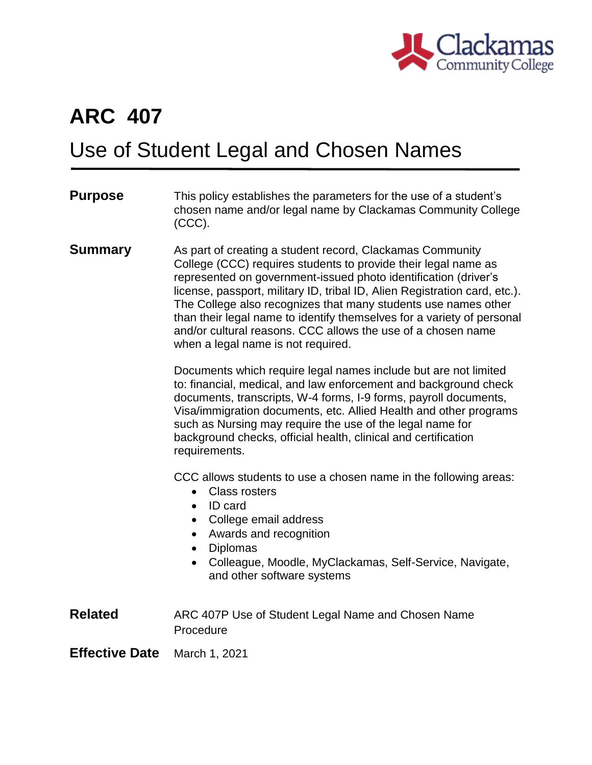

## **ARC 407**

## Use of Student Legal and Chosen Names

| <b>Purpose</b>        | This policy establishes the parameters for the use of a student's<br>chosen name and/or legal name by Clackamas Community College<br>$(CCC)$ .                                                                                                                                                                                                                                                                                                                                                                                 |
|-----------------------|--------------------------------------------------------------------------------------------------------------------------------------------------------------------------------------------------------------------------------------------------------------------------------------------------------------------------------------------------------------------------------------------------------------------------------------------------------------------------------------------------------------------------------|
| <b>Summary</b>        | As part of creating a student record, Clackamas Community<br>College (CCC) requires students to provide their legal name as<br>represented on government-issued photo identification (driver's<br>license, passport, military ID, tribal ID, Alien Registration card, etc.).<br>The College also recognizes that many students use names other<br>than their legal name to identify themselves for a variety of personal<br>and/or cultural reasons. CCC allows the use of a chosen name<br>when a legal name is not required. |
|                       | Documents which require legal names include but are not limited<br>to: financial, medical, and law enforcement and background check<br>documents, transcripts, W-4 forms, I-9 forms, payroll documents,<br>Visa/immigration documents, etc. Allied Health and other programs<br>such as Nursing may require the use of the legal name for<br>background checks, official health, clinical and certification<br>requirements.                                                                                                   |
|                       | CCC allows students to use a chosen name in the following areas:<br><b>Class rosters</b><br>$\bullet$<br><b>ID</b> card<br>$\bullet$<br>College email address<br>$\bullet$<br>Awards and recognition<br>$\bullet$<br><b>Diplomas</b><br>$\bullet$<br>Colleague, Moodle, MyClackamas, Self-Service, Navigate,<br>$\bullet$<br>and other software systems                                                                                                                                                                        |
| <b>Related</b>        | ARC 407P Use of Student Legal Name and Chosen Name<br>Procedure                                                                                                                                                                                                                                                                                                                                                                                                                                                                |
| <b>Effective Date</b> | March 1, 2021                                                                                                                                                                                                                                                                                                                                                                                                                                                                                                                  |